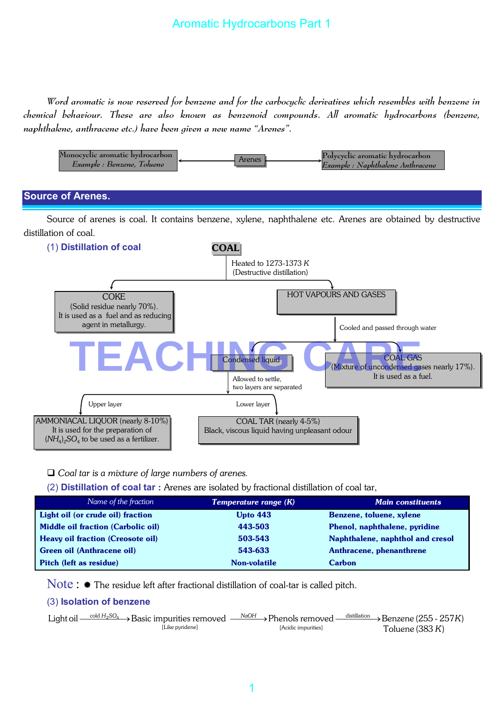# Aromatic Hydrocarbons Part 1

*Word aromatic is now reserved for benzene and for the carbocyclic derivatives which resembles with benzene in chemical behaviour. These are also known as benzenoid compounds. All aromatic hydrocarbons (benzene, naphthalene, anthracene etc.) have been given a new name "Arenes".*



# Black, viscous liquid having unpleasant odour  $(NH_4)_2SO_4$  to be used as a fertilizer.

#### *Coal tar is a mixture of large numbers of arenes.*

(2) **Distillation of coal tar** : Arenes are isolated by fractional distillation of coal tar,

| Name of the fraction                      | <b>Temperature range (K)</b> | <b>Main constituents</b>         |
|-------------------------------------------|------------------------------|----------------------------------|
| Light oil (or crude oil) fraction         | <b>Upto 443</b>              | Benzene, toluene, xylene         |
| <b>Middle oil fraction (Carbolic oil)</b> | 443-503                      | Phenol, naphthalene, pyridine    |
| <b>Heavy oil fraction (Creosote oil)</b>  | 503-543                      | Naphthalene, naphthol and cresol |
| Green oil (Anthracene oil)                | 543-633                      | Anthracene, phenanthrene         |
| Pitch (left as residue)                   | Non-volatile                 | <b>Carbon</b>                    |

Note :  $*$  The residue left after fractional distillation of coal-tar is called pitch.

#### (3) **Isolation of benzene**

It is used for the preparation of

| Light oil $\frac{\text{cold }H_2SO_4}{\text{6}}$ Basic impurities removed $\frac{\text{NaOH}}{\text{6}}$ Phenols removed $\frac{\text{distribution}}{\text{6}}$ Benzene (255 - 257K) |                     |                    |
|--------------------------------------------------------------------------------------------------------------------------------------------------------------------------------------|---------------------|--------------------|
| [Like pyridene]                                                                                                                                                                      | [Acidic impurities] | Toluene (383 $K$ ) |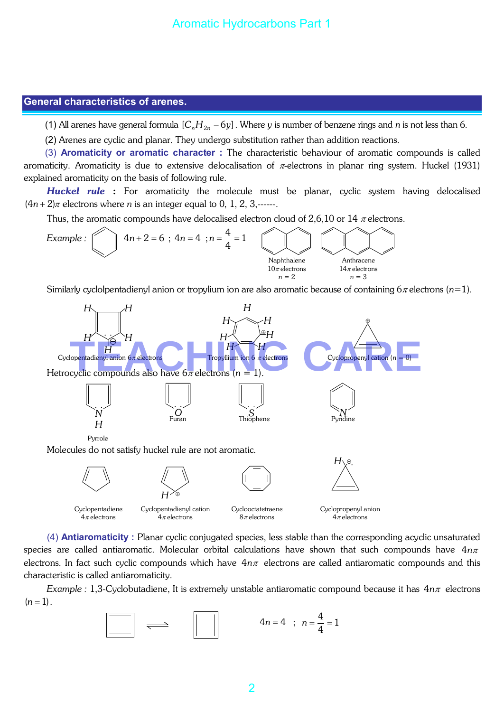#### **General characteristics of arenes.**

(1) All arenes have general formula  $[C_nH_{2n} - 6y]$ . Where *y* is number of benzene rings and *n* is not less than 6.

(2) Arenes are cyclic and planar. They undergo substitution rather than addition reactions.

(3) **Aromaticity or aromatic character :** The characteristic behaviour of aromatic compounds is called aromaticity. Aromaticity is due to extensive delocalisation of  $\pi$ -electrons in planar ring system. Huckel (1931) explained aromaticity on the basis of following rule.

*Huckel rule* : For aromaticity the molecule must be planar, cyclic system having delocalised  $(4n+2)\pi$  electrons where *n* is an integer equal to 0, 1, 2, 3,------.

Thus, the aromatic compounds have delocalised electron cloud of 2,6,10 or 14  $\pi$  electrons.



Similarly cyclolpentadienyl anion or tropylium ion are also aromatic because of containing 6<sup>π</sup> electrons (*n*=1).



(4) **Antiaromaticity :** Planar cyclic conjugated species, less stable than the corresponding acyclic unsaturated species are called antiaromatic. Molecular orbital calculations have shown that such compounds have 4*n*<sup>π</sup> electrons. In fact such cyclic compounds which have 4*n*<sup>π</sup> electrons are called antiaromatic compounds and this characteristic is called antiaromaticity.

*Example :* 1,3-Cyclobutadiene, It is extremely unstable antiaromatic compound because it has 4*n*<sup>π</sup> electrons  $(n = 1)$ .

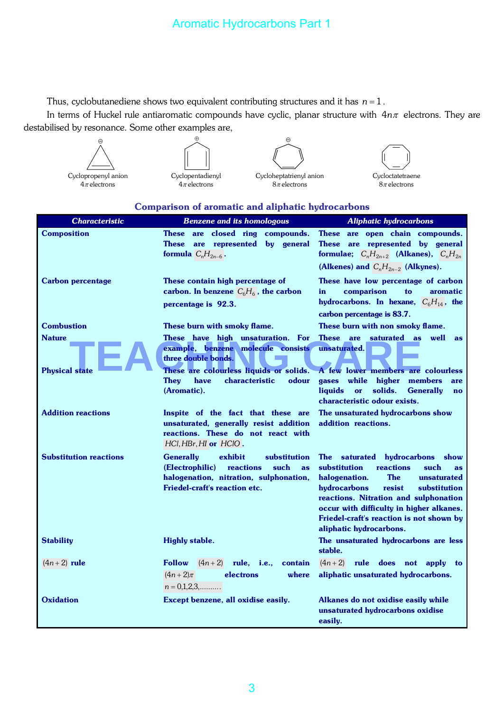Thus, cyclobutanediene shows two equivalent contributing structures and it has *n* = 1 .

In terms of Huckel rule antiaromatic compounds have cyclic, planar structure with 4*n*<sup>π</sup> electrons. They are destabilised by resonance. Some other examples are,

| Cyclopropenyl anion |  |  |  |  |
|---------------------|--|--|--|--|
| $4\pi$ electrons    |  |  |  |  |







|  | <b>Comparison of aromatic and aliphatic hydrocarbons</b> |  |  |  |
|--|----------------------------------------------------------|--|--|--|
|  |                                                          |  |  |  |

| <b>Characteristic</b>                  | <b>Benzene and its homologous</b>                                                                                                                                                                                                             | <b>Aliphatic hydrocarbons</b>                                                                                                                                                                                                                                                                                                        |
|----------------------------------------|-----------------------------------------------------------------------------------------------------------------------------------------------------------------------------------------------------------------------------------------------|--------------------------------------------------------------------------------------------------------------------------------------------------------------------------------------------------------------------------------------------------------------------------------------------------------------------------------------|
| <b>Composition</b>                     | These are closed ring compounds.<br>These are represented by general<br>formula $C_nH_{2n-6}$ .                                                                                                                                               | <b>These</b><br>are open chain compounds.<br>These are represented by general<br>formulae; $C_nH_{2n+2}$ (Alkanes), $C_nH_{2n}$<br>(Alkenes) and $C_nH_{2n-2}$ (Alkynes).                                                                                                                                                            |
| <b>Carbon percentage</b>               | These contain high percentage of<br>carbon. In benzene $C_6H_6$ , the carbon<br>percentage is 92.3.                                                                                                                                           | These have low percentage of carbon<br>comparison<br>to<br>in<br>aromatic<br>hydrocarbons. In hexane, $C_6H_{14}$ , the<br>carbon percentage is 83.7.                                                                                                                                                                                |
| <b>Combustion</b>                      | These burn with smoky flame.                                                                                                                                                                                                                  | These burn with non smoky flame.                                                                                                                                                                                                                                                                                                     |
| <b>Nature</b><br><b>Physical state</b> | These have high unsaturation. For<br>example, benzene molecule consists<br>three double bonds.<br>These are colourless liquids or solids. A few lower members are colourless<br><b>They</b><br>characteristic<br>odour<br>have<br>(Aromatic). | These are saturated as well<br>as<br>unsaturated.<br>while higher<br>gases<br>members<br>are<br><b>liquids</b><br>solids.<br><b>Generally</b><br>or<br>$\mathbf{n}\mathbf{o}$<br>characteristic odour exists.                                                                                                                        |
| <b>Addition reactions</b>              | Inspite of the fact that these are<br>unsaturated, generally resist addition<br>reactions. These do not react with<br>$HCI, HBr, HI$ or $HCIO$ .                                                                                              | The unsaturated hydrocarbons show<br>addition reactions.                                                                                                                                                                                                                                                                             |
| <b>Substitution reactions</b>          | <b>Generally</b><br>exhibit<br>substitution<br>(Electrophilic)<br>reactions<br>such<br>as<br>halogenation, nitration, sulphonation,<br><b>Friedel-craft's reaction etc.</b>                                                                   | The saturated<br>hydrocarbons<br>show<br>reactions<br>substitution<br>such<br>as<br><b>The</b><br>halogenation.<br>unsaturated<br>hydrocarbons<br>resist<br>substitution<br>reactions. Nitration and sulphonation<br>occur with difficulty in higher alkanes.<br>Friedel-craft's reaction is not shown by<br>aliphatic hydrocarbons. |
| <b>Stability</b>                       | <b>Highly stable.</b>                                                                                                                                                                                                                         | The unsaturated hydrocarbons are less<br>stable.                                                                                                                                                                                                                                                                                     |
| $(4n+2)$ rule                          | <b>Follow</b><br>$(4n+2)$ rule, i.e.,<br>contain<br>$(4n+2)\pi$<br>electrons<br>where<br>$n = 0,1,2,3,$                                                                                                                                       | $(4n+2)$ rule does not apply to<br>aliphatic unsaturated hydrocarbons.                                                                                                                                                                                                                                                               |
| <b>Oxidation</b>                       | Except benzene, all oxidise easily.                                                                                                                                                                                                           | Alkanes do not oxidise easily while<br>unsaturated hydrocarbons oxidise<br>easily.                                                                                                                                                                                                                                                   |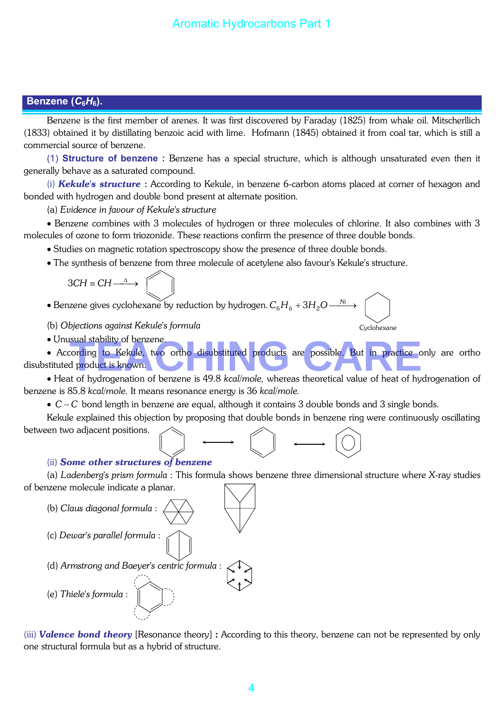## **Benzene (***C***6***H***6).**

Benzene is the first member of arenes. It was first discovered by Faraday (1825) from whale oil. Mitscherllich (1833) obtained it by distillating benzoic acid with lime. Hofmann (1845) obtained it from coal tar, which is still a commercial source of benzene.

(1) **Structure of benzene :** Benzene has a special structure, which is although unsaturated even then it generally behave as a saturated compound.

(i) *Kekule's structure* : According to Kekule, in benzene 6-carbon atoms placed at corner of hexagon and bonded with hydrogen and double bond present at alternate position.

(a) *Evidence in favour of Kekule's structure*

• Benzene combines with 3 molecules of hydrogen or three molecules of chlorine. It also combines with 3 molecules of ozone to form triozonide. These reactions confirm the presence of three double bonds.

• Studies on magnetic rotation spectroscopy show the presence of three double bonds.

• The synthesis of benzene from three molecule of acetylene also favour's Kekule's structure.

$$
3CH \equiv CH \stackrel{\Delta}{\longrightarrow}
$$

 $\bullet$  Benzene gives cyclohexane by reduction by hydrogen.  $C_6H_6 + 3H_2O$   $\stackrel{\rm{Ni}}{\longrightarrow}$ *Ni*

(b) *Objections against Kekule's formula*

• Unusual stability of benzene.

• According to Kekule, two ortho disubstituted products are possible. But in practice only are ortho disubstituted product is known. sual stability of benzene.<br>Tording to Kekule, two ortho disubstituted products are possible. But in practice only<br>In product is known.<br>In the hydrogenation of benzene is 49.8 kcal/mole, whereas theoretical value of beat of

Cyclohexane

• Heat of hydrogenation of benzene is 49.8 *kcal/mole,* whereas theoretical value of heat of hydrogenation of benzene is 85.8 *kcal/mole.* It means resonance energy is 36 *kcal/mole.*

• *C* − *C* bond length in benzene are equal, although it contains 3 double bonds and 3 single bonds.

Kekule explained this objection by proposing that double bonds in benzene ring were continuously oscillating between two adjacent positions.



(ii) *Some other structures of benzene*

(a) *Ladenberg's prism formula* : This formula shows benzene three dimensional structure where *X*-ray studies of benzene molecule indicate a planar.



(iii) *Valence bond theory* [Resonance theory] : According to this theory, benzene can not be represented by only one structural formula but as a hybrid of structure.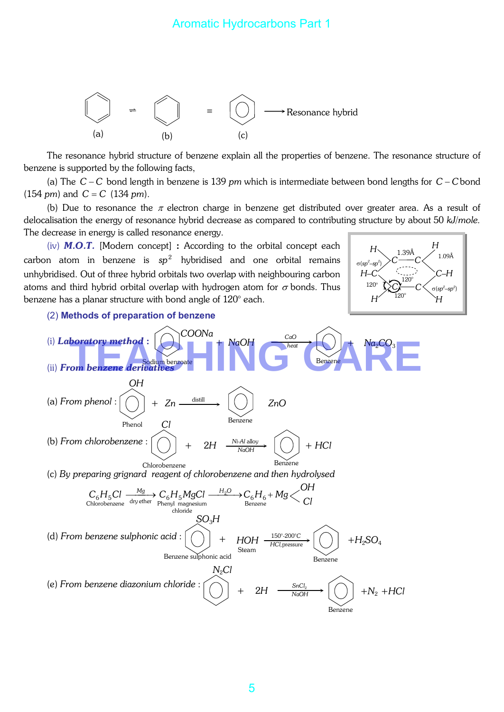

The resonance hybrid structure of benzene explain all the properties of benzene. The resonance structure of benzene is supported by the following facts,

(a) The C − C bond length in benzene is 139 *pm* which is intermediate between bond lengths for C − C bond  $(154 \text{ pm})$  and  $C = C$  (134 *pm*).

(b) Due to resonance the  $\pi$  electron charge in benzene get distributed over greater area. As a result of delocalisation the energy of resonance hybrid decrease as compared to contributing structure by about 50 *kJ*/*mole.*  The decrease in energy is called resonance energy.

(iv) *M.O.T.* [Modern concept] : According to the orbital concept each carbon atom in benzene is  $sp^2$  hybridised and one orbital remains unhybridised. Out of three hybrid orbitals two overlap with neighbouring carbon atoms and third hybrid orbital overlap with hydrogen atom for  $\sigma$  bonds. Thus benzene has a planar structure with bond angle of 120° each.



#### (2) **Methods of preparation of benzene**

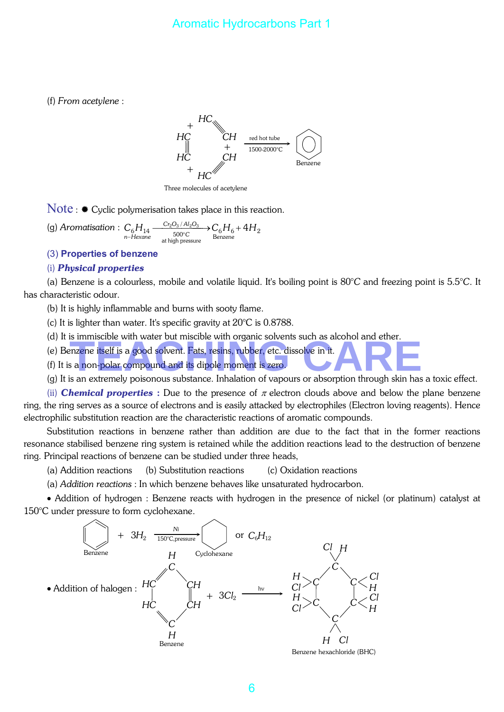## Aromatic Hydrocarbons Part 1

(f) *From acetylene* :



Three molecules of acetylene

 $Note:$   $\bullet$  Cyclic polymerisation takes place in this reaction.

(g) *Aromatisation* :  $C_6H_{14}$ Benzene  $C_6H_{14} \xrightarrow[500°C]{\text{Cr}_2\text{O}_3/Al_2\text{O}_3} C_6H_6+4H$ <br>
n-Hexane this means Benzene at high pressure 500 / *C Cr*<sub>2</sub>O<sub>3</sub> / Al<sub>2</sub>O *n Hexane*

(3) **Properties of benzene** 

#### (i) *Physical properties*

(a) Benzene is a colourless, mobile and volatile liquid. It's boiling point is 80°*C* and freezing point is 5.5°*C*. It has characteristic odour.

(b) It is highly inflammable and burns with sooty flame.

(c) It is lighter than water. It's specific gravity at 20°C is 0.8788.

(d) It is immiscible with water but miscible with organic solvents such as alcohol and ether.

(e) Benzene itself is a good solvent. Fats, resins, rubber, etc. dissolve in it. Final School will water out hisclote will organic solverns such as alcohol and effer.<br>
The same itself is a good solvent. Fats, resins, rubber, etc. dissolve in it.<br>
Is an extremely poisonous substance, Inhalation of vapou

(f) It is a non-polar compound and its dipole moment is zero.

(g) It is an extremely poisonous substance. Inhalation of vapours or absorption through skin has a toxic effect.

(ii) **Chemical properties** : Due to the presence of  $\pi$  electron clouds above and below the plane benzene ring, the ring serves as a source of electrons and is easily attacked by electrophiles (Electron loving reagents). Hence electrophilic substitution reaction are the characteristic reactions of aromatic compounds.

Substitution reactions in benzene rather than addition are due to the fact that in the former reactions resonance stabilised benzene ring system is retained while the addition reactions lead to the destruction of benzene ring. Principal reactions of benzene can be studied under three heads,

(a) Addition reactions (b) Substitution reactions (c) Oxidation reactions

(a) *Addition reactions* : In which benzene behaves like unsaturated hydrocarbon.

• Addition of hydrogen : Benzene reacts with hydrogen in the presence of nickel (or platinum) catalyst at 150°C under pressure to form cyclohexane.

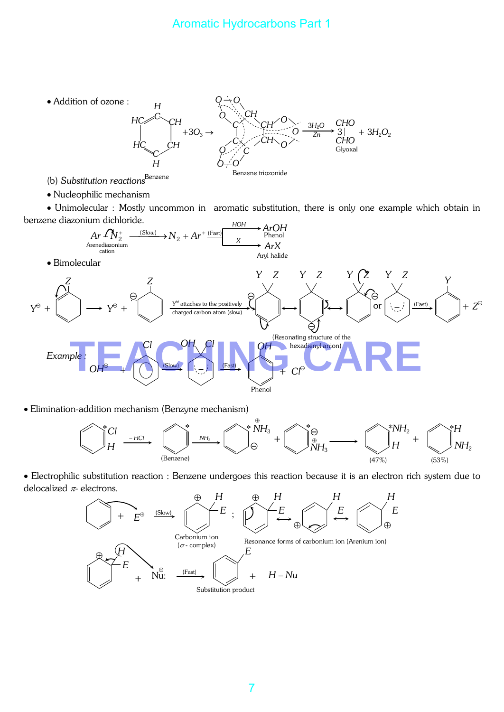# Aromatic Hydrocarbons Part 1



(b) *Substitution reactions*

• Nucleophilic mechanism

• Unimolecular : Mostly uncommon in aromatic substitution, there is only one example which obtain in benzene diazonium dichloride.



• Elimination-addition mechanism (Benzyne mechanism)



• Electrophilic substitution reaction : Benzene undergoes this reaction because it is an electron rich system due to delocalized  $\pi$ - electrons.

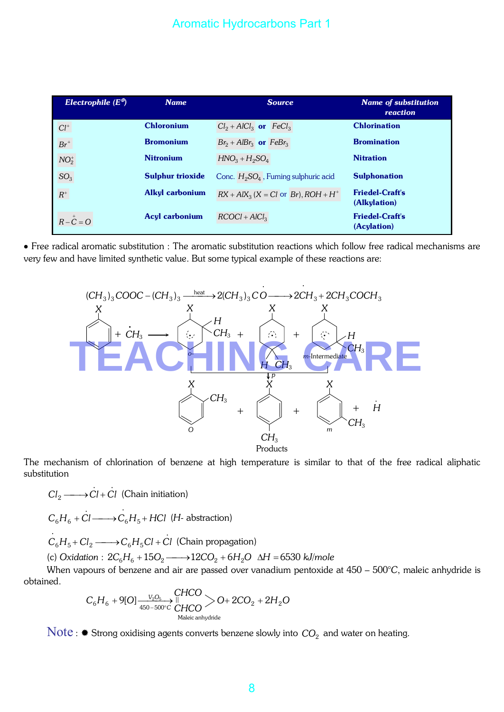| Electrophile $(E^{\theta})$ | <b>Name</b>             | <b>Source</b>                                 | <b>Name of substitution</b><br>reaction |
|-----------------------------|-------------------------|-----------------------------------------------|-----------------------------------------|
| ${\cal C}l^+$               | <b>Chloronium</b>       | $Cl_2 + AlCl_3$ or $FeCl_3$                   | <b>Chlorination</b>                     |
| $Br^+$                      | <b>Bromonium</b>        | $Br_2 + AlBr_3$ or $FeBr_3$                   | <b>Bromination</b>                      |
| $NO2+$                      | <b>Nitronium</b>        | $HNO3 + H2SO4$                                | <b>Nitration</b>                        |
| SO <sub>3</sub>             | <b>Sulphur trioxide</b> | Conc. $H_2SO_4$ , Fuming sulphuric acid       | <b>Sulphonation</b>                     |
| $\ensuremath{\mathbb{R}}^+$ | <b>Alkyl carbonium</b>  | $RX + AIX_3$ $(X = Cl$ or $Br)$ , $ROH + H^+$ | <b>Friedel-Craft's</b><br>(Alkylation)  |
| $R-\overset{+}{C}=O$        | <b>Acyl carbonium</b>   | $RCOCI + AICl3$                               | <b>Friedel-Craft's</b><br>(Acylation)   |

• Free radical aromatic substitution : The aromatic substitution reactions which follow free radical mechanisms are very few and have limited synthetic value. But some typical example of these reactions are:



The mechanism of chlorination of benzene at high temperature is similar to that of the free radical aliphatic substitution

..  $Cl_2 \longrightarrow Cl + Cl$  (Chain initiation)  $C_6H_6 + Cl \longrightarrow C_6H_5 + HCl$ . .  $_6H_6$  + Cl  $\longrightarrow$   $C_6H_5$  + HCl (H- abstraction)

. .  $C_6H_5$  +  $Cl_2 \longrightarrow C_6H_5Cl$  +  $Cl$  (Chain propagation)

(c) *Oxidation* :  $2C_6H_6 + 15O_2 \longrightarrow 12CO_2 + 6H_2O \Delta H = 6530$  *kJ/mole* 

When vapours of benzene and air are passed over vanadium pentoxide at 450 – 500°*C*, maleic anhydride is obtained.

$$
C_6H_6 + 9[O]{\xrightarrow[450-500°C]{\text{CHCO}}}\begin{array}{c}\text{CHCO} \\ \text{CHCO} \end{array} > O + 2CO_2 + 2H_2O
$$

Note :  $*$  Strong oxidising agents converts benzene slowly into  $CO<sub>2</sub>$  and water on heating.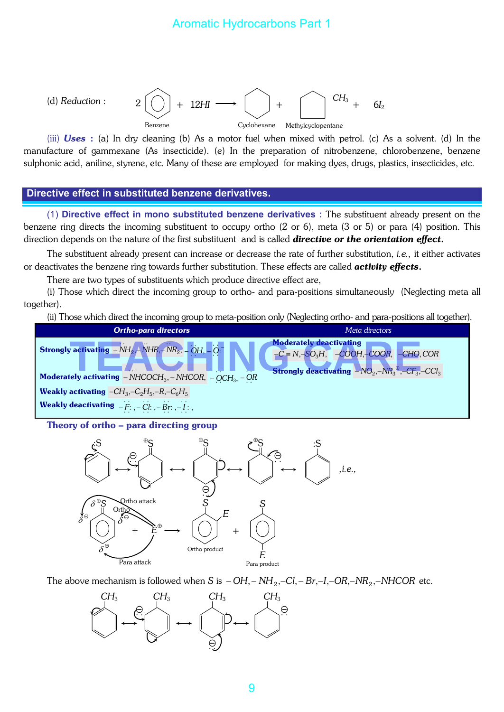

(iii) *Uses* : (a) In dry cleaning (b) As a motor fuel when mixed with petrol. (c) As a solvent. (d) In the manufacture of gammexane (As insecticide). (e) In the preparation of nitrobenzene, chlorobenzene, benzene sulphonic acid, aniline, styrene, etc. Many of these are employed for making dyes, drugs, plastics, insecticides, etc.

#### **Directive effect in substituted benzene derivatives.**

(1) **Directive effect in mono substituted benzene derivatives :** The substituent already present on the benzene ring directs the incoming substituent to occupy ortho (2 or 6), meta (3 or 5) or para (4) position. This direction depends on the nature of the first substituent and is called *directive or the orientation effect*.

The substituent already present can increase or decrease the rate of further substitution, *i.e.,* it either activates or deactivates the benzene ring towards further substitution. These effects are called *activity effects*.

There are two types of substituents which produce directive effect are,

(i) Those which direct the incoming group to ortho- and para-positions simultaneously (Neglecting meta all together).

(ii) Those which direct the incoming group to meta-position only (Neglecting ortho- and para-positions all together).



Theory of ortho – para directing group



The above mechanism is followed when *S* is  $-OH$ ,  $-NH_2$ ,  $-Cl$ ,  $-Br$ ,  $-I$ ,  $-OR$ ,  $-NR_2$ ,  $-NHCOR$  etc.